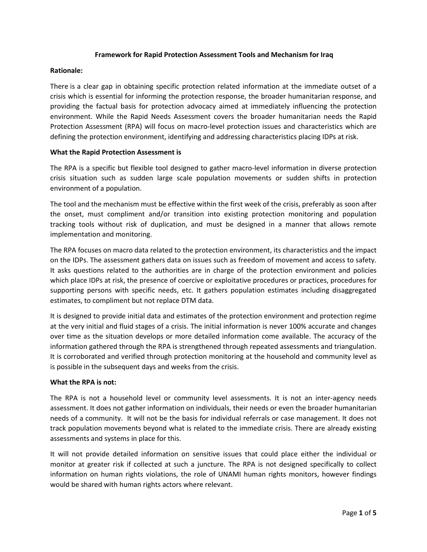## **Framework for Rapid Protection Assessment Tools and Mechanism for Iraq**

## **Rationale:**

There is a clear gap in obtaining specific protection related information at the immediate outset of a crisis which is essential for informing the protection response, the broader humanitarian response, and providing the factual basis for protection advocacy aimed at immediately influencing the protection environment. While the Rapid Needs Assessment covers the broader humanitarian needs the Rapid Protection Assessment (RPA) will focus on macro-level protection issues and characteristics which are defining the protection environment, identifying and addressing characteristics placing IDPs at risk.

## **What the Rapid Protection Assessment is**

The RPA is a specific but flexible tool designed to gather macro-level information in diverse protection crisis situation such as sudden large scale population movements or sudden shifts in protection environment of a population.

The tool and the mechanism must be effective within the first week of the crisis, preferably as soon after the onset, must compliment and/or transition into existing protection monitoring and population tracking tools without risk of duplication, and must be designed in a manner that allows remote implementation and monitoring.

The RPA focuses on macro data related to the protection environment, its characteristics and the impact on the IDPs. The assessment gathers data on issues such as freedom of movement and access to safety. It asks questions related to the authorities are in charge of the protection environment and policies which place IDPs at risk, the presence of coercive or exploitative procedures or practices, procedures for supporting persons with specific needs, etc. It gathers population estimates including disaggregated estimates, to compliment but not replace DTM data.

It is designed to provide initial data and estimates of the protection environment and protection regime at the very initial and fluid stages of a crisis. The initial information is never 100% accurate and changes over time as the situation develops or more detailed information come available. The accuracy of the information gathered through the RPA is strengthened through repeated assessments and triangulation. It is corroborated and verified through protection monitoring at the household and community level as is possible in the subsequent days and weeks from the crisis.

#### **What the RPA is not:**

The RPA is not a household level or community level assessments. It is not an inter-agency needs assessment. It does not gather information on individuals, their needs or even the broader humanitarian needs of a community. It will not be the basis for individual referrals or case management. It does not track population movements beyond what is related to the immediate crisis. There are already existing assessments and systems in place for this.

It will not provide detailed information on sensitive issues that could place either the individual or monitor at greater risk if collected at such a juncture. The RPA is not designed specifically to collect information on human rights violations, the role of UNAMI human rights monitors, however findings would be shared with human rights actors where relevant.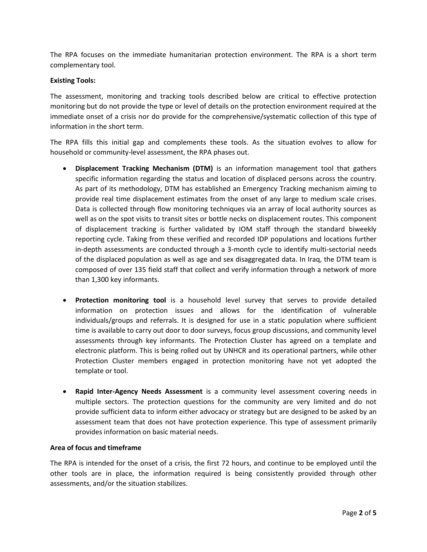The RPA focuses on the immediate humanitarian protection environment. The RPA is a short term complementary tool.

## **Existing Tools:**

The assessment, monitoring and tracking tools described below are critical to effective protection monitoring but do not provide the type or level of details on the protection environment required at the immediate onset of a crisis nor do provide for the comprehensive/systematic collection of this type of information in the short term.

The RPA fills this initial gap and complements these tools. As the situation evolves to allow for household or community-level assessment, the RPA phases out.

- **Displacement Tracking Mechanism (DTM)** is an information management tool that gathers specific information regarding the status and location of displaced persons across the country. As part of its methodology, DTM has established an Emergency Tracking mechanism aiming to provide real time displacement estimates from the onset of any large to medium scale crises. Data is collected through flow monitoring techniques via an array of local authority sources as well as on the spot visits to transit sites or bottle necks on displacement routes. This component of displacement tracking is further validated by IOM staff through the standard biweekly reporting cycle. Taking from these verified and recorded IDP populations and locations further in-depth assessments are conducted through a 3-month cycle to identify multi-sectorial needs of the displaced population as well as age and sex disaggregated data. In Iraq, the DTM team is composed of over 135 field staff that collect and verify information through a network of more than 1,300 key informants.
- **Protection monitoring tool** is a household level survey that serves to provide detailed information on protection issues and allows for the identification of vulnerable individuals/groups and referrals. It is designed for use in a static population where sufficient time is available to carry out door to door surveys, focus group discussions, and community level assessments through key informants. The Protection Cluster has agreed on a template and electronic platform. This is being rolled out by UNHCR and its operational partners, while other Protection Cluster members engaged in protection monitoring have not yet adopted the template or tool.
- **Rapid Inter-Agency Needs Assessment** is a community level assessment covering needs in multiple sectors. The protection questions for the community are very limited and do not provide sufficient data to inform either advocacy or strategy but are designed to be asked by an assessment team that does not have protection experience. This type of assessment primarily provides information on basic material needs.

#### **Area of focus and timeframe**

The RPA is intended for the onset of a crisis, the first 72 hours, and continue to be employed until the other tools are in place, the information required is being consistently provided through other assessments, and/or the situation stabilizes.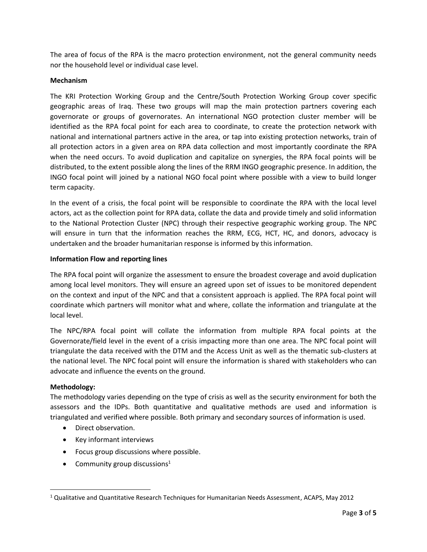The area of focus of the RPA is the macro protection environment, not the general community needs nor the household level or individual case level.

## **Mechanism**

The KRI Protection Working Group and the Centre/South Protection Working Group cover specific geographic areas of Iraq. These two groups will map the main protection partners covering each governorate or groups of governorates. An international NGO protection cluster member will be identified as the RPA focal point for each area to coordinate, to create the protection network with national and international partners active in the area, or tap into existing protection networks, train of all protection actors in a given area on RPA data collection and most importantly coordinate the RPA when the need occurs. To avoid duplication and capitalize on synergies, the RPA focal points will be distributed, to the extent possible along the lines of the RRM INGO geographic presence. In addition, the INGO focal point will joined by a national NGO focal point where possible with a view to build longer term capacity.

In the event of a crisis, the focal point will be responsible to coordinate the RPA with the local level actors, act as the collection point for RPA data, collate the data and provide timely and solid information to the National Protection Cluster (NPC) through their respective geographic working group. The NPC will ensure in turn that the information reaches the RRM, ECG, HCT, HC, and donors, advocacy is undertaken and the broader humanitarian response is informed by this information.

## **Information Flow and reporting lines**

The RPA focal point will organize the assessment to ensure the broadest coverage and avoid duplication among local level monitors. They will ensure an agreed upon set of issues to be monitored dependent on the context and input of the NPC and that a consistent approach is applied. The RPA focal point will coordinate which partners will monitor what and where, collate the information and triangulate at the local level.

The NPC/RPA focal point will collate the information from multiple RPA focal points at the Governorate/field level in the event of a crisis impacting more than one area. The NPC focal point will triangulate the data received with the DTM and the Access Unit as well as the thematic sub-clusters at the national level. The NPC focal point will ensure the information is shared with stakeholders who can advocate and influence the events on the ground.

## **Methodology:**

 $\overline{\phantom{a}}$ 

The methodology varies depending on the type of crisis as well as the security environment for both the assessors and the IDPs. Both quantitative and qualitative methods are used and information is triangulated and verified where possible. Both primary and secondary sources of information is used.

- Direct observation.
- Key informant interviews
- Focus group discussions where possible.
- Community group discussions<sup>1</sup>

<sup>1</sup> Qualitative and Quantitative Research Techniques for Humanitarian Needs Assessment, ACAPS, May 2012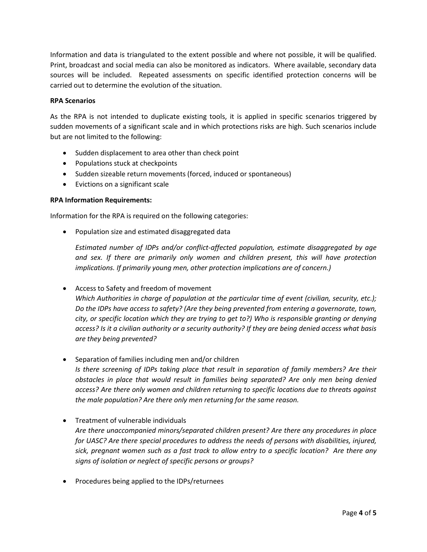Information and data is triangulated to the extent possible and where not possible, it will be qualified. Print, broadcast and social media can also be monitored as indicators. Where available, secondary data sources will be included. Repeated assessments on specific identified protection concerns will be carried out to determine the evolution of the situation.

## **RPA Scenarios**

As the RPA is not intended to duplicate existing tools, it is applied in specific scenarios triggered by sudden movements of a significant scale and in which protections risks are high. Such scenarios include but are not limited to the following:

- Sudden displacement to area other than check point
- Populations stuck at checkpoints
- Sudden sizeable return movements (forced, induced or spontaneous)
- Evictions on a significant scale

## **RPA Information Requirements:**

Information for the RPA is required on the following categories:

Population size and estimated disaggregated data

*Estimated number of IDPs and/or conflict-affected population, estimate disaggregated by age and sex. If there are primarily only women and children present, this will have protection implications. If primarily young men, other protection implications are of concern.)*

Access to Safety and freedom of movement

*Which Authorities in charge of population at the particular time of event (civilian, security, etc.); Do the IDPs have access to safety? (Are they being prevented from entering a governorate, town, city, or specific location which they are trying to get to?) Who is responsible granting or denying access? Is it a civilian authority or a security authority? If they are being denied access what basis are they being prevented?* 

Separation of families including men and/or children

*Is there screening of IDPs taking place that result in separation of family members? Are their obstacles in place that would result in families being separated? Are only men being denied access? Are there only women and children returning to specific locations due to threats against the male population? Are there only men returning for the same reason.* 

- Treatment of vulnerable individuals *Are there unaccompanied minors/separated children present? Are there any procedures in place for UASC? Are there special procedures to address the needs of persons with disabilities, injured, sick, pregnant women such as a fast track to allow entry to a specific location? Are there any signs of isolation or neglect of specific persons or groups?*
- Procedures being applied to the IDPs/returnees